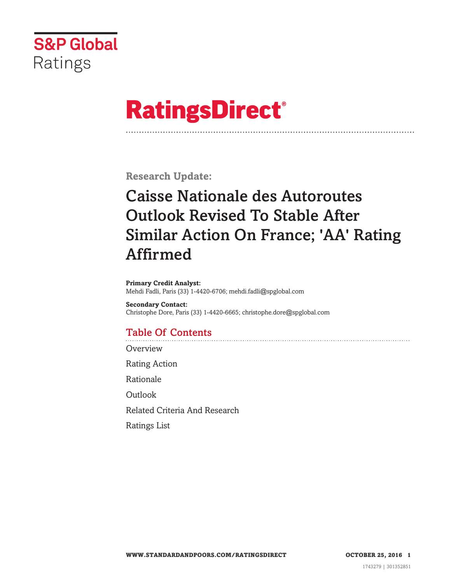

# **RatingsDirect®**

**Research Update:**

# **Caisse Nationale des Autoroutes Outlook Revised To Stable After Similar Action On France; 'AA' Rating Affirmed**

**Primary Credit Analyst:** Mehdi Fadli, Paris (33) 1-4420-6706; mehdi.fadli@spglobal.com

**Secondary Contact:** Christophe Dore, Paris (33) 1-4420-6665; christophe.dore@spglobal.com

# **Table Of Contents**

**[Overview](#page-1-0)** 

Rating [Action](#page-1-0)

[Rationale](#page-1-0)

**[Outlook](#page-3-0)** 

Related Criteria And [Research](#page-3-0)

[Ratings](#page-3-0) List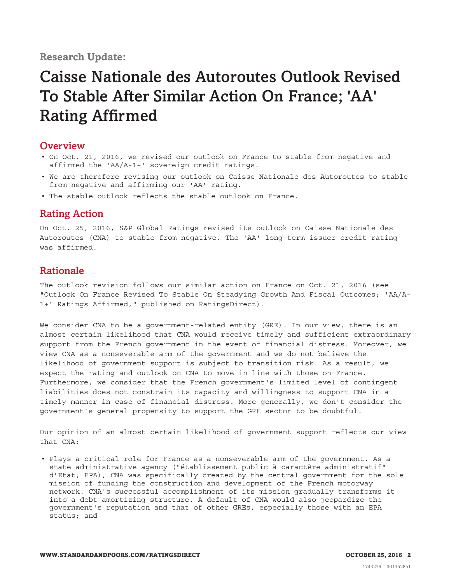#### <span id="page-1-0"></span>**Research Update:**

# **Caisse Nationale des Autoroutes Outlook Revised To Stable After Similar Action On France; 'AA' Rating Affirmed**

#### **Overview**

- On Oct. 21, 2016, we revised our outlook on France to stable from negative and affirmed the 'AA/A-1+' sovereign credit ratings.
- We are therefore revising our outlook on Caisse Nationale des Autoroutes to stable from negative and affirming our 'AA' rating.
- The stable outlook reflects the stable outlook on France.

### **Rating Action**

On Oct. 25, 2016, S&P Global Ratings revised its outlook on Caisse Nationale des Autoroutes (CNA) to stable from negative. The 'AA' long-term issuer credit rating was affirmed.

### **Rationale**

The outlook revision follows our similar action on France on Oct. 21, 2016 (see "Outlook On France Revised To Stable On Steadying Growth And Fiscal Outcomes; 'AA/A-1+' Ratings Affirmed," published on RatingsDirect).

We consider CNA to be a government-related entity (GRE). In our view, there is an almost certain likelihood that CNA would receive timely and sufficient extraordinary support from the French government in the event of financial distress. Moreover, we view CNA as a nonseverable arm of the government and we do not believe the likelihood of government support is subject to transition risk. As a result, we expect the rating and outlook on CNA to move in line with those on France. Furthermore, we consider that the French government's limited level of contingent liabilities does not constrain its capacity and willingness to support CNA in a timely manner in case of financial distress. More generally, we don't consider the government's general propensity to support the GRE sector to be doubtful.

Our opinion of an almost certain likelihood of government support reflects our view that CNA:

• Plays a critical role for France as a nonseverable arm of the government. As a state administrative agency ("établissement public à caractère administratif" d'Etat; EPA), CNA was specifically created by the central government for the sole mission of funding the construction and development of the French motorway network. CNA's successful accomplishment of its mission gradually transforms it into a debt amortizing structure. A default of CNA would also jeopardize the government's reputation and that of other GREs, especially those with an EPA status; and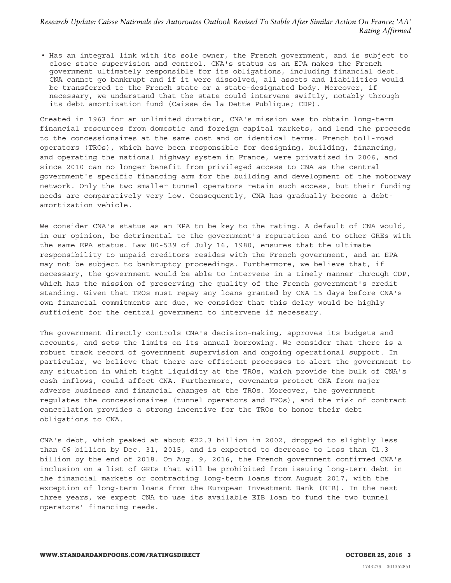*Research Update: Caisse Nationale des Autoroutes Outlook Revised To Stable After Similar Action On France; 'AA' Rating Affirmed*

• Has an integral link with its sole owner, the French government, and is subject to close state supervision and control. CNA's status as an EPA makes the French government ultimately responsible for its obligations, including financial debt. CNA cannot go bankrupt and if it were dissolved, all assets and liabilities would be transferred to the French state or a state-designated body. Moreover, if necessary, we understand that the state could intervene swiftly, notably through its debt amortization fund (Caisse de la Dette Publique; CDP).

Created in 1963 for an unlimited duration, CNA's mission was to obtain long-term financial resources from domestic and foreign capital markets, and lend the proceeds to the concessionaires at the same cost and on identical terms. French toll-road operators (TROs), which have been responsible for designing, building, financing, and operating the national highway system in France, were privatized in 2006, and since 2010 can no longer benefit from privileged access to CNA as the central government's specific financing arm for the building and development of the motorway network. Only the two smaller tunnel operators retain such access, but their funding needs are comparatively very low. Consequently, CNA has gradually become a debtamortization vehicle.

We consider CNA's status as an EPA to be key to the rating. A default of CNA would, in our opinion, be detrimental to the government's reputation and to other GREs with the same EPA status. Law 80-539 of July 16, 1980, ensures that the ultimate responsibility to unpaid creditors resides with the French government, and an EPA may not be subject to bankruptcy proceedings. Furthermore, we believe that, if necessary, the government would be able to intervene in a timely manner through CDP, which has the mission of preserving the quality of the French government's credit standing. Given that TROs must repay any loans granted by CNA 15 days before CNA's own financial commitments are due, we consider that this delay would be highly sufficient for the central government to intervene if necessary.

The government directly controls CNA's decision-making, approves its budgets and accounts, and sets the limits on its annual borrowing. We consider that there is a robust track record of government supervision and ongoing operational support. In particular, we believe that there are efficient processes to alert the government to any situation in which tight liquidity at the TROs, which provide the bulk of CNA's cash inflows, could affect CNA. Furthermore, covenants protect CNA from major adverse business and financial changes at the TROs. Moreover, the government regulates the concessionaires (tunnel operators and TROs), and the risk of contract cancellation provides a strong incentive for the TROs to honor their debt obligations to CNA.

CNA's debt, which peaked at about  $E22.3$  billion in 2002, dropped to slightly less than  $€6$  billion by Dec. 31, 2015, and is expected to decrease to less than  $€1.3$ billion by the end of 2018. On Aug. 9, 2016, the French government confirmed CNA's inclusion on a list of GREs that will be prohibited from issuing long-term debt in the financial markets or contracting long-term loans from August 2017, with the exception of long-term loans from the European Investment Bank (EIB). In the next three years, we expect CNA to use its available EIB loan to fund the two tunnel operators' financing needs.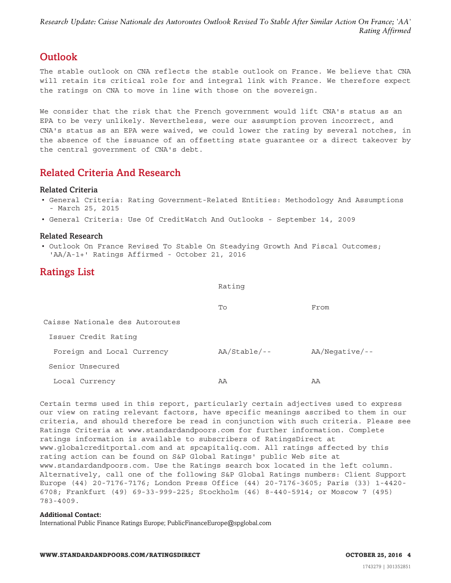<span id="page-3-0"></span>*Research Update: Caisse Nationale des Autoroutes Outlook Revised To Stable After Similar Action On France; 'AA' Rating Affirmed*

### **Outlook**

The stable outlook on CNA reflects the stable outlook on France. We believe that CNA will retain its critical role for and integral link with France. We therefore expect the ratings on CNA to move in line with those on the sovereign.

We consider that the risk that the French government would lift CNA's status as an EPA to be very unlikely. Nevertheless, were our assumption proven incorrect, and CNA's status as an EPA were waived, we could lower the rating by several notches, in the absence of the issuance of an offsetting state guarantee or a direct takeover by the central government of CNA's debt.

## **Related Criteria And Research**

#### **Related Criteria**

- General Criteria: Rating Government-Related Entities: Methodology And Assumptions - March 25, 2015
- General Criteria: Use Of CreditWatch And Outlooks September 14, 2009

#### **Related Research**

• Outlook On France Revised To Stable On Steadying Growth And Fiscal Outcomes; 'AA/A-1+' Ratings Affirmed - October 21, 2016

## **Ratings List**

Rating

|                                 | To             | From             |
|---------------------------------|----------------|------------------|
| Caisse Nationale des Autoroutes |                |                  |
| Issuer Credit Rating            |                |                  |
| Foreign and Local Currency      | $AA/Stable/--$ | $AA/Neqative/--$ |
| Senior Unsecured                |                |                  |
| Local Currency                  | AA             | AA               |

Certain terms used in this report, particularly certain adjectives used to express our view on rating relevant factors, have specific meanings ascribed to them in our criteria, and should therefore be read in conjunction with such criteria. Please see Ratings Criteria at www.standardandpoors.com for further information. Complete ratings information is available to subscribers of RatingsDirect at www.globalcreditportal.com and at spcapitaliq.com. All ratings affected by this rating action can be found on S&P Global Ratings' public Web site at www.standardandpoors.com. Use the Ratings search box located in the left column. Alternatively, call one of the following S&P Global Ratings numbers: Client Support Europe (44) 20-7176-7176; London Press Office (44) 20-7176-3605; Paris (33) 1-4420- 6708; Frankfurt (49) 69-33-999-225; Stockholm (46) 8-440-5914; or Moscow 7 (495) 783-4009.

#### **Additional Contact:**

International Public Finance Ratings Europe; PublicFinanceEurope@spglobal.com